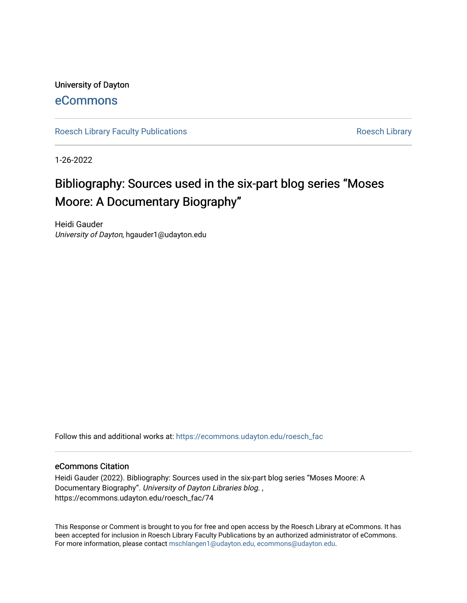## University of Dayton

## [eCommons](https://ecommons.udayton.edu/)

[Roesch Library Faculty Publications](https://ecommons.udayton.edu/roesch_fac) **Roesch Library** Roesch Library

1-26-2022

# Bibliography: Sources used in the six-part blog series "Moses Moore: A Documentary Biography"

Heidi Gauder University of Dayton, hgauder1@udayton.edu

Follow this and additional works at: [https://ecommons.udayton.edu/roesch\\_fac](https://ecommons.udayton.edu/roesch_fac?utm_source=ecommons.udayton.edu%2Froesch_fac%2F74&utm_medium=PDF&utm_campaign=PDFCoverPages) 

### eCommons Citation

Heidi Gauder (2022). Bibliography: Sources used in the six-part blog series "Moses Moore: A Documentary Biography". University of Dayton Libraries blog. , https://ecommons.udayton.edu/roesch\_fac/74

This Response or Comment is brought to you for free and open access by the Roesch Library at eCommons. It has been accepted for inclusion in Roesch Library Faculty Publications by an authorized administrator of eCommons. For more information, please contact [mschlangen1@udayton.edu, ecommons@udayton.edu.](mailto:mschlangen1@udayton.edu,%20ecommons@udayton.edu)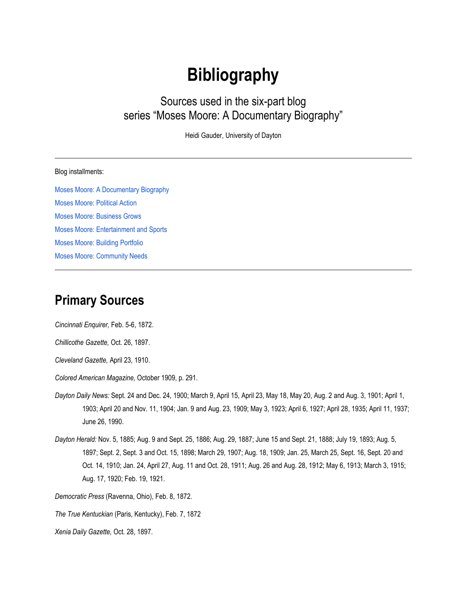# **Bibliography**

Sources used in the six-part blog series "Moses Moore: A Documentary Biography"

Heidi Gauder, University of Dayton

#### Blog installments:

[Moses Moore: A Documentary Biography](https://udayton.edu/blogs/libraries/2022-01-26-moore1.php) [Moses Moore: Political Action](https://udayton.edu/blogs/libraries/2022-01-26-moore2.php) [Moses Moore: Business Grows](https://udayton.edu/blogs/libraries/2022-01-26-moore3.php) [Moses Moore: Entertainment and Sports](https://udayton.edu/blogs/libraries/2022-01-26-moore4.php) [Moses Moore: Building Portfolio](https://udayton.edu/blogs/libraries/2022-01-26-moore5.php) [Moses Moore: Community Needs](https://udayton.edu/blogs/libraries/2022-01-26-moore6.php)

## **Primary Sources**

*Cincinnati Enquirer,* Feb. 5-6, 1872.

*Chillicothe Gazette,* Oct. 26, 1897.

*Cleveland Gazette,* April 23, 1910.

*Colored American Magazine,* October 1909, p. 291.

- *Dayton Daily News:* Sept. 24 and Dec. 24, 1900; March 9, April 15, April 23, May 18, May 20, Aug. 2 and Aug. 3, 1901; April 1, 1903; April 20 and Nov. 11, 1904; Jan. 9 and Aug. 23, 1909; May 3, 1923; April 6, 1927; April 28, 1935; April 11, 1937; June 26, 1990.
- *Dayton Herald:* Nov. 5, 1885; Aug. 9 and Sept. 25, 1886; Aug. 29, 1887; June 15 and Sept. 21, 1888; July 19, 1893; Aug. 5, 1897; Sept. 2, Sept. 3 and Oct. 15, 1898; March 29, 1907; Aug. 18, 1909; Jan. 25, March 25, Sept. 16, Sept. 20 and Oct. 14, 1910; Jan. 24, April 27, Aug. 11 and Oct. 28, 1911; Aug. 26 and Aug. 28, 1912; May 6, 1913; March 3, 1915; Aug. 17, 1920; Feb. 19, 1921.

*Democratic Press* (Ravenna, Ohio), Feb. 8, 1872.

*The True Kentuckian* (Paris, Kentucky), Feb. 7, 1872

*Xenia Daily Gazette,* Oct. 28, 1897.